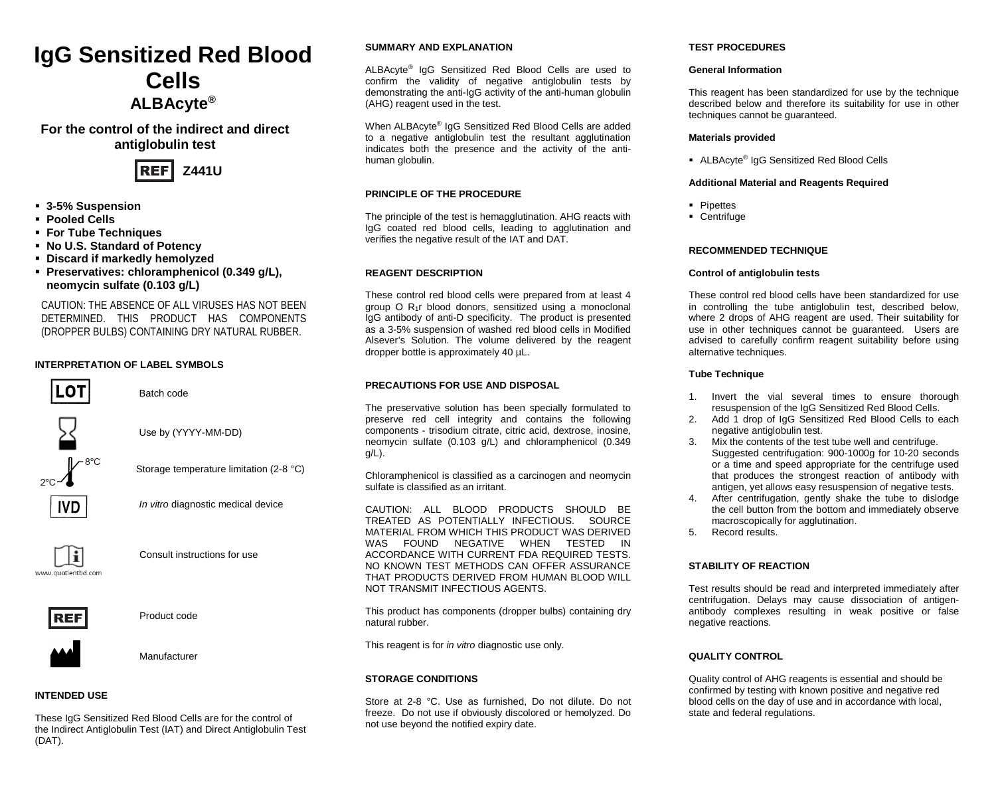# **IgG Sensitized Red Blood Cells ALBAcyte®**

**For the control of the indirect and direct antiglobulin test** 



- **3-5% Suspension**
- **Pooled Cells**
- **For Tube Techniques**
- **No U.S. Standard of Potency**
- **Discard if markedly hemolyzed**
- **Preservatives: chloramphenicol (0.349 g/L), neomycin sulfate (0.103 g/L)**

CAUTION: THE ABSENCE OF ALL VIRUSES HAS NOT BEEN DETERMINED. THIS PRODUCT HAS COMPONENTS (DROPPER BULBS) CONTAINING DRY NATURAL RUBBER.

## **INTERPRETATION OF LABEL SYMBOLS**



Batch code



Use by (YYYY-MM-DD)



Storage temperature limitation (2-8 °C)



*In vitro* diagnostic medical device



Consult instructions for use



Product code



Manufacturer

## **INTENDED USE**

These IgG Sensitized Red Blood Cells are for the control of the Indirect Antiglobulin Test (IAT) and Direct Antiglobulin Test (DAT).

## **SUMMARY AND EXPLANATION**

ALBAcyte® IgG Sensitized Red Blood Cells are used to confirm the validity of negative antiglobulin tests by demonstrating the anti-IgG activity of the anti-human globulin (AHG) reagent used in the test.

When ALBAcyte® IgG Sensitized Red Blood Cells are added to a negative antiglobulin test the resultant agglutination indicates both the presence and the activity of the antihuman globulin.

# **PRINCIPLE OF THE PROCEDURE**

The principle of the test is hemagglutination. AHG reacts with IgG coated red blood cells, leading to agglutination and verifies the negative result of the IAT and DAT.

### **REAGENT DESCRIPTION**

These control red blood cells were prepared from at least 4 group O R1r blood donors, sensitized using a monoclonal IgG antibody of anti-D specificity. The product is presented as a 3-5% suspension of washed red blood cells in Modified Alsever's Solution. The volume delivered by the reagent dropper bottle is approximately 40 µL.

### **PRECAUTIONS FOR USE AND DISPOSAL**

The preservative solution has been specially formulated to preserve red cell integrity and contains the following components - trisodium citrate, citric acid, dextrose, inosine, neomycin sulfate (0.103 g/L) and chloramphenicol (0.349 g/L).

Chloramphenicol is classified as a carcinogen and neomycin sulfate is classified as an irritant.

CAUTION: ALL BLOOD PRODUCTS SHOULD BE TREATED AS POTENTIALLY INFECTIOUS. SOURCE MATERIAL FROM WHICH THIS PRODUCT WAS DERIVED WAS FOUND NEGATIVE WHEN TESTED IN ACCORDANCE WITH CURRENT FDA REQUIRED TESTS. NO KNOWN TEST METHODS CAN OFFER ASSURANCE THAT PRODUCTS DERIVED FROM HUMAN BLOOD WILL NOT TRANSMIT INFECTIOUS AGENTS.

This product has components (dropper bulbs) containing dry natural rubber.

This reagent is for *in vitro* diagnostic use only.

### **STORAGE CONDITIONS**

Store at 2-8 °C. Use as furnished, Do not dilute. Do not freeze. Do not use if obviously discolored or hemolyzed. Do not use beyond the notified expiry date.

## **TEST PROCEDURES**

#### **General Information**

This reagent has been standardized for use by the technique described below and therefore its suitability for use in other techniques cannot be guaranteed.

### **Materials provided**

ALBAcyte® IgG Sensitized Red Blood Cells

### **Additional Material and Reagents Required**

- **Pipettes**
- **-** Centrifuge

## **RECOMMENDED TECHNIQUE**

### **Control of antiglobulin tests**

These control red blood cells have been standardized for use in controlling the tube antiglobulin test, described below, where 2 drops of AHG reagent are used. Their suitability for use in other techniques cannot be guaranteed. Users are advised to carefully confirm reagent suitability before using alternative techniques.

## **Tube Technique**

- 1. Invert the vial several times to ensure thorough resuspension of the IgG Sensitized Red Blood Cells.
- Add 1 drop of IgG Sensitized Red Blood Cells to each negative antiglobulin test.
- 3. Mix the contents of the test tube well and centrifuge. Suggested centrifugation: 900-1000g for 10-20 seconds or a time and speed appropriate for the centrifuge used that produces the strongest reaction of antibody with antigen, yet allows easy resuspension of negative tests.
- 4. After centrifugation, gently shake the tube to dislodge the cell button from the bottom and immediately observe macroscopically for agglutination.
- 5. Record results.

## **STABILITY OF REACTION**

Test results should be read and interpreted immediately after centrifugation. Delays may cause dissociation of antigenantibody complexes resulting in weak positive or false negative reactions.

### **QUALITY CONTROL**

Quality control of AHG reagents is essential and should be confirmed by testing with known positive and negative red blood cells on the day of use and in accordance with local, state and federal regulations.